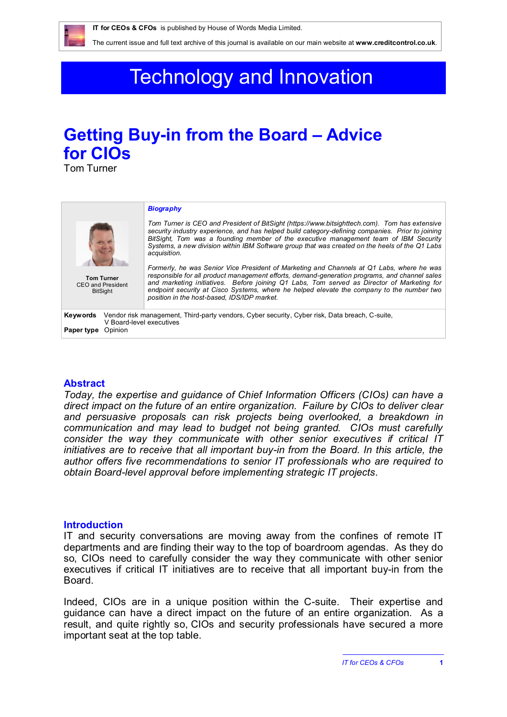The current issue and full text archive of this journal is available on our main website at **www.creditcontrol.co.uk**.

# Technology and Innovation

# **Getting Buy-in from the Board – Advice for CIOs**

Tom Turner

| <b>Tom Turner</b><br>CEO and President<br><b>BitSight</b>                                                                                                       | <b>Biography</b><br>Tom Turner is CEO and President of BitSight (https://www.bitsighttech.com). Tom has extensive<br>security industry experience, and has helped build category-defining companies. Prior to joining<br>BitSight. Tom was a founding member of the executive management team of IBM Security<br>Systems, a new division within IBM Software group that was created on the heels of the Q1 Labs<br>acquisition.<br>Formerly, he was Senior Vice President of Marketing and Channels at Q1 Labs, where he was<br>responsible for all product management efforts, demand-generation programs, and channel sales<br>and marketing initiatives. Before joining Q1 Labs, Tom served as Director of Marketing for<br>endpoint security at Cisco Systems, where he helped elevate the company to the number two<br>position in the host-based, IDS/IDP market. |
|-----------------------------------------------------------------------------------------------------------------------------------------------------------------|-------------------------------------------------------------------------------------------------------------------------------------------------------------------------------------------------------------------------------------------------------------------------------------------------------------------------------------------------------------------------------------------------------------------------------------------------------------------------------------------------------------------------------------------------------------------------------------------------------------------------------------------------------------------------------------------------------------------------------------------------------------------------------------------------------------------------------------------------------------------------|
| Vendor risk management, Third-party vendors, Cyber security, Cyber risk, Data breach, C-suite,<br>Keywords<br>V Board-level executives<br>Opinion<br>Paper type |                                                                                                                                                                                                                                                                                                                                                                                                                                                                                                                                                                                                                                                                                                                                                                                                                                                                         |

### **Abstract**

*Today, the expertise and guidance of Chief Information Officers (CIOs) can have a direct impact on the future of an entire organization. Failure by CIOs to deliver clear and persuasive proposals can risk projects being overlooked, a breakdown in communication and may lead to budget not being granted. CIOs must carefully consider the way they communicate with other senior executives if critical IT initiatives are to receive that all important buy-in from the Board. In this article, the author offers five recommendations to senior IT professionals who are required to obtain Board-level approval before implementing strategic IT projects.*

### **Introduction**

IT and security conversations are moving away from the confines of remote IT departments and are finding their way to the top of boardroom agendas. As they do so, CIOs need to carefully consider the way they communicate with other senior executives if critical IT initiatives are to receive that all important buy-in from the Board.

Indeed, CIOs are in a unique position within the C-suite. Their expertise and guidance can have a direct impact on the future of an entire organization. As a result, and quite rightly so, CIOs and security professionals have secured a more important seat at the top table.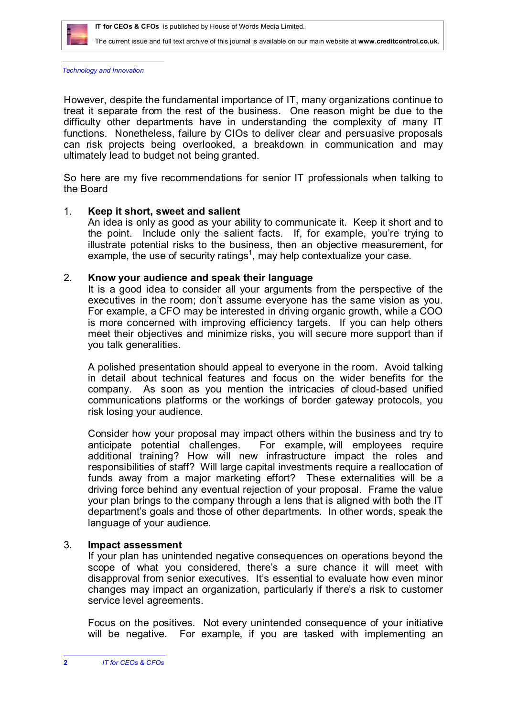

The current issue and full text archive of this journal is available on our main website at **www.creditcontrol.co.uk**.

*Technology and Innovation*

However, despite the fundamental importance of IT, many organizations continue to treat it separate from the rest of the business. One reason might be due to the difficulty other departments have in understanding the complexity of many IT functions. Nonetheless, failure by CIOs to deliver clear and persuasive proposals can risk projects being overlooked, a breakdown in communication and may ultimately lead to budget not being granted.

So here are my five recommendations for senior IT professionals when talking to the Board

# 1. **Keep it short, sweet and salient**

An idea is only as good as your ability to communicate it. Keep it short and to the point. Include only the salient facts. If, for example, you're trying to illustrate potential risks to the business, then an objective measurement, for example, the use of security ratings<sup>1</sup>, may help contextualize your case.

## 2. **Know your audience and speak their language**

It is a good idea to consider all your arguments from the perspective of the executives in the room; don't assume everyone has the same vision as you. For example, a CFO may be interested in driving organic growth, while a COO is more concerned with improving efficiency targets. If you can help others meet their objectives and minimize risks, you will secure more support than if you talk generalities.

A polished presentation should appeal to everyone in the room. Avoid talking in detail about technical features and focus on the wider benefits for the company. As soon as you mention the intricacies of cloud-based unified communications platforms or the workings of border gateway protocols, you risk losing your audience.

Consider how your proposal may impact others within the business and try to anticipate potential challenges. For example, will employees require additional training? How will new infrastructure impact the roles and responsibilities of staff? Will large capital investments require a reallocation of funds away from a major marketing effort? These externalities will be a driving force behind any eventual rejection of your proposal. Frame the value your plan brings to the company through a lens that is aligned with both the IT department's goals and those of other departments. In other words, speak the language of your audience.

# 3. **Impact assessment**

If your plan has unintended negative consequences on operations beyond the scope of what you considered, there's a sure chance it will meet with disapproval from senior executives. It's essential to evaluate how even minor changes may impact an organization, particularly if there's a risk to customer service level agreements.

Focus on the positives. Not every unintended consequence of your initiative will be negative. For example, if you are tasked with implementing an